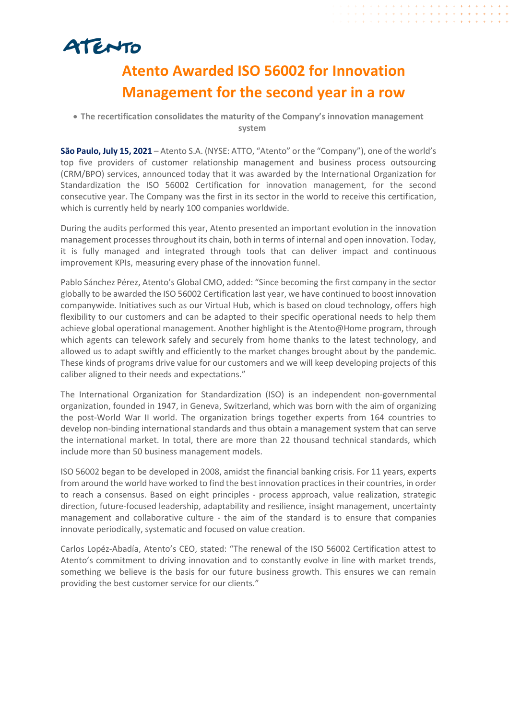# ATENTO

# **Atento Awarded ISO 56002 for Innovation Management for the second year in a row**

## • **The recertification consolidates the maturity of the Company's innovation management system**

**São Paulo, July 15, 2021** – Atento S.A. (NYSE: ATTO, "Atento" or the "Company"), one of the world's top five providers of customer relationship management and business process outsourcing (CRM/BPO) services, announced today that it was awarded by the International Organization for Standardization the ISO 56002 Certification for innovation management, for the second consecutive year. The Company was the first in its sector in the world to receive this certification, which is currently held by nearly 100 companies worldwide.

During the audits performed this year, Atento presented an important evolution in the innovation management processes throughout its chain, both in terms of internal and open innovation. Today, it is fully managed and integrated through tools that can deliver impact and continuous improvement KPIs, measuring every phase of the innovation funnel.

Pablo Sánchez Pérez, Atento's Global CMO, added: "Since becoming the first company in the sector globally to be awarded the ISO 56002 Certification last year, we have continued to boost innovation companywide. Initiatives such as our Virtual Hub, which is based on cloud technology, offers high flexibility to our customers and can be adapted to their specific operational needs to help them achieve global operational management. Another highlight is the Atento@Home program, through which agents can telework safely and securely from home thanks to the latest technology, and allowed us to adapt swiftly and efficiently to the market changes brought about by the pandemic. These kinds of programs drive value for our customers and we will keep developing projects of this caliber aligned to their needs and expectations."

The International Organization for Standardization (ISO) is an independent non-governmental organization, founded in 1947, in Geneva, Switzerland, which was born with the aim of organizing the post-World War II world. The organization brings together experts from 164 countries to develop non-binding international standards and thus obtain a management system that can serve the international market. In total, there are more than 22 thousand technical standards, which include more than 50 business management models.

ISO 56002 began to be developed in 2008, amidst the financial banking crisis. For 11 years, experts from around the world have worked to find the best innovation practices in their countries, in order to reach a consensus. Based on eight principles - process approach, value realization, strategic direction, future-focused leadership, adaptability and resilience, insight management, uncertainty management and collaborative culture - the aim of the standard is to ensure that companies innovate periodically, systematic and focused on value creation.

Carlos Lopéz-Abadía, Atento's CEO, stated: "The renewal of the ISO 56002 Certification attest to Atento's commitment to driving innovation and to constantly evolve in line with market trends, something we believe is the basis for our future business growth. This ensures we can remain providing the best customer service for our clients."